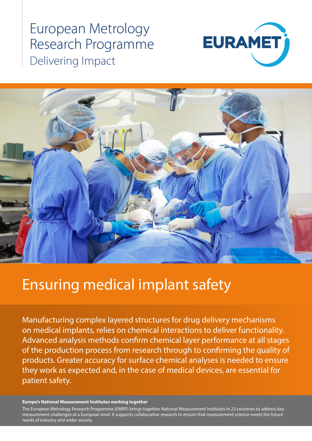# European Metrology Research Programme Delivering Impact





# Ensuring medical implant safety

Manufacturing complex layered structures for drug delivery mechanisms on medical implants, relies on chemical interactions to deliver functionality. Advanced analysis methods confirm chemical layer performance at all stages of the production process from research through to confirming the quality of products. Greater accuracy for surface chemical analyses is needed to ensure they work as expected and, in the case of medical devices, are essential for patient safety.

#### **Europe's National Measurement Institutes working together**

measurement challenges at a European level. It supports collaborative research to ensure that measurement science meets the future<br>needs of industry and wider society The European Metrology Research Programme (EMRP) brings together National Measurement Institutes in 23 countries to address key needs of industry and wider society.